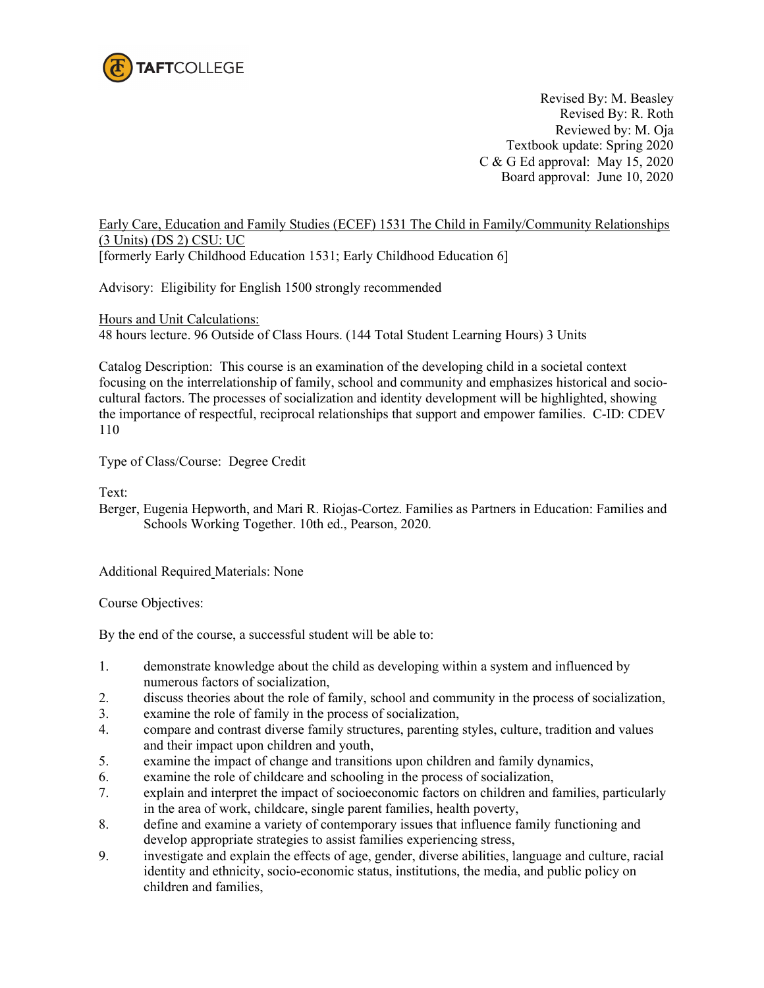

 Revised By: M. Beasley Revised By: R. Roth Reviewed by: M. Oja Textbook update: Spring 2020 C & G Ed approval: May 15, 2020 Board approval: June 10, 2020

Early Care, Education and Family Studies (ECEF) 1531 The Child in Family/Community Relationships (3 Units) (DS 2) CSU: UC [formerly Early Childhood Education 1531; Early Childhood Education 6]

Advisory: Eligibility for English 1500 strongly recommended

Hours and Unit Calculations: 48 hours lecture. 96 Outside of Class Hours. (144 Total Student Learning Hours) 3 Units

Catalog Description: This course is an examination of the developing child in a societal context focusing on the interrelationship of family, school and community and emphasizes historical and sociocultural factors. The processes of socialization and identity development will be highlighted, showing the importance of respectful, reciprocal relationships that support and empower families. C-ID: CDEV 110

Type of Class/Course: Degree Credit

Text:

Berger, Eugenia Hepworth, and Mari R. Riojas-Cortez. Families as Partners in Education: Families and Schools Working Together. 10th ed., Pearson, 2020.

Additional Required Materials: None

Course Objectives:

By the end of the course, a successful student will be able to:

- 1. demonstrate knowledge about the child as developing within a system and influenced by numerous factors of socialization,
- 2. discuss theories about the role of family, school and community in the process of socialization,
- 3. examine the role of family in the process of socialization,<br>4. compare and contrast diverse family structures, parenting
- 4. compare and contrast diverse family structures, parenting styles, culture, tradition and values and their impact upon children and youth,
- 5. examine the impact of change and transitions upon children and family dynamics,
- 6. examine the role of childcare and schooling in the process of socialization,
- 7. explain and interpret the impact of socioeconomic factors on children and families, particularly in the area of work, childcare, single parent families, health poverty,
- 8. define and examine a variety of contemporary issues that influence family functioning and develop appropriate strategies to assist families experiencing stress,
- 9. investigate and explain the effects of age, gender, diverse abilities, language and culture, racial identity and ethnicity, socio-economic status, institutions, the media, and public policy on children and families,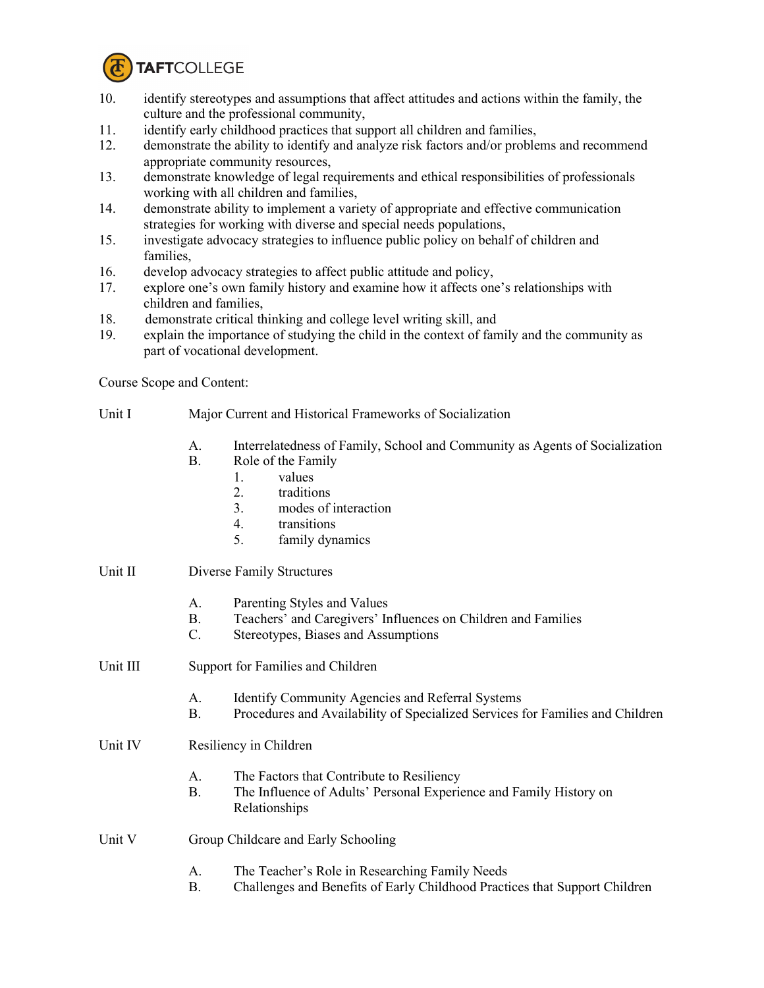

- 10. identify stereotypes and assumptions that affect attitudes and actions within the family, the culture and the professional community,
- 11. identify early childhood practices that support all children and families,
- 12. demonstrate the ability to identify and analyze risk factors and/or problems and recommend appropriate community resources,
- 13. demonstrate knowledge of legal requirements and ethical responsibilities of professionals working with all children and families,
- 14. demonstrate ability to implement a variety of appropriate and effective communication strategies for working with diverse and special needs populations,
- 15. investigate advocacy strategies to influence public policy on behalf of children and families,
- 16. develop advocacy strategies to affect public attitude and policy,
- 17. explore one's own family history and examine how it affects one's relationships with children and families,
- 18. demonstrate critical thinking and college level writing skill, and
- 19. explain the importance of studying the child in the context of family and the community as part of vocational development.

Course Scope and Content:

- Unit I Major Current and Historical Frameworks of Socialization
	- A. Interrelatedness of Family, School and Community as Agents of Socialization
	- B. Role of the Family
		- 1. values
		- 2. traditions
		- 3. modes of interaction
		- 4. transitions
		- 5. family dynamics

## Unit II Diverse Family Structures

- A. Parenting Styles and Values
- B. Teachers' and Caregivers' Influences on Children and Families
- C. Stereotypes, Biases and Assumptions
- Unit III Support for Families and Children
	- A. Identify Community Agencies and Referral Systems
	- B. Procedures and Availability of Specialized Services for Families and Children
- Unit IV Resiliency in Children
	- A. The Factors that Contribute to Resiliency
	- B. The Influence of Adults' Personal Experience and Family History on Relationships
- Unit V Group Childcare and Early Schooling
	- A. The Teacher's Role in Researching Family Needs
	- B. Challenges and Benefits of Early Childhood Practices that Support Children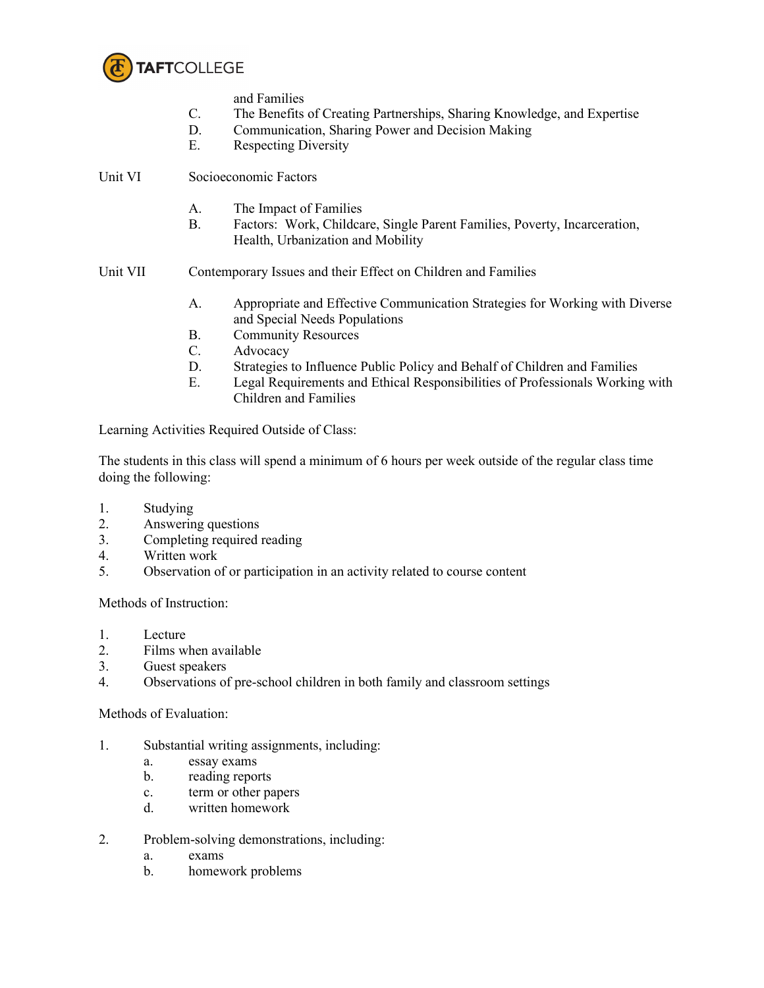

and Families

- C. The Benefits of Creating Partnerships, Sharing Knowledge, and Expertise
- D. Communication, Sharing Power and Decision Making
- E. Respecting Diversity

Unit VI Socioeconomic Factors

- A. The Impact of Families
- B. Factors: Work, Childcare, Single Parent Families, Poverty, Incarceration, Health, Urbanization and Mobility
- Unit VII Contemporary Issues and their Effect on Children and Families
	- A. Appropriate and Effective Communication Strategies for Working with Diverse and Special Needs Populations
	- B. Community Resources
	- C. Advocacy
	- D. Strategies to Influence Public Policy and Behalf of Children and Families
	- E. Legal Requirements and Ethical Responsibilities of Professionals Working with Children and Families

Learning Activities Required Outside of Class:

The students in this class will spend a minimum of 6 hours per week outside of the regular class time doing the following:

- 1. Studying
- 2. Answering questions
- 3. Completing required reading
- 4. Written work
- 5. Observation of or participation in an activity related to course content

Methods of Instruction:

- 1. Lecture
- 2. Films when available
- 3. Guest speakers
- 4. Observations of pre-school children in both family and classroom settings

Methods of Evaluation:

- 1. Substantial writing assignments, including:
	- a. essay exams
	- b. reading reports
	- c. term or other papers
	- d. written homework
- 2. Problem-solving demonstrations, including:
	- a. exams
	- b. homework problems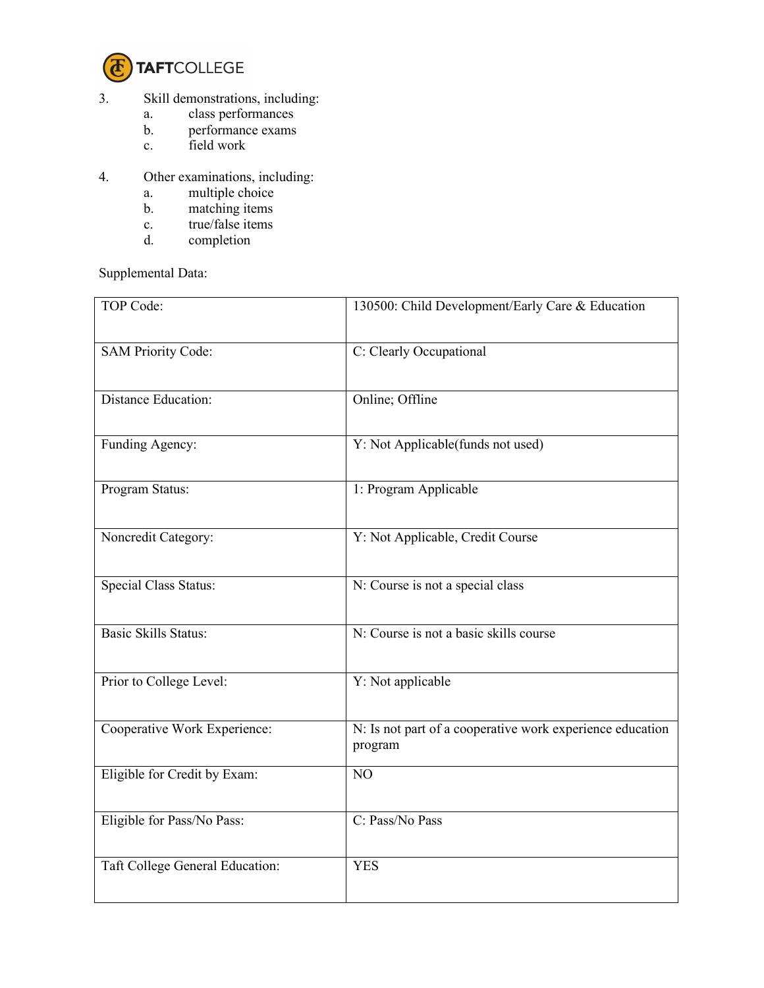

- 3. Skill demonstrations, including:
	- a. class performances
	- b. performance exams
	- c. field work
- 4. Other examinations, including:
- a. multiple choice
- b. matching items
	- c. true/false items<br>d. completion
	- completion

Supplemental Data:

| TOP Code:                       | 130500: Child Development/Early Care & Education                     |
|---------------------------------|----------------------------------------------------------------------|
| <b>SAM Priority Code:</b>       | C: Clearly Occupational                                              |
| <b>Distance Education:</b>      | Online; Offline                                                      |
| Funding Agency:                 | Y: Not Applicable(funds not used)                                    |
| Program Status:                 | 1: Program Applicable                                                |
| Noncredit Category:             | Y: Not Applicable, Credit Course                                     |
| <b>Special Class Status:</b>    | N: Course is not a special class                                     |
| <b>Basic Skills Status:</b>     | N: Course is not a basic skills course                               |
| Prior to College Level:         | Y: Not applicable                                                    |
| Cooperative Work Experience:    | N: Is not part of a cooperative work experience education<br>program |
| Eligible for Credit by Exam:    | NO                                                                   |
| Eligible for Pass/No Pass:      | C: Pass/No Pass                                                      |
| Taft College General Education: | <b>YES</b>                                                           |